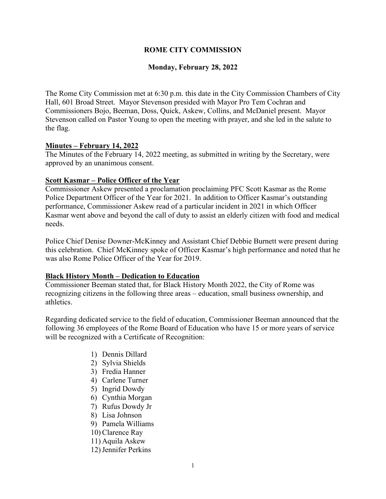## **ROME CITY COMMISSION**

### **Monday, February 28, 2022**

The Rome City Commission met at 6:30 p.m. this date in the City Commission Chambers of City Hall, 601 Broad Street. Mayor Stevenson presided with Mayor Pro Tem Cochran and Commissioners Bojo, Beeman, Doss, Quick, Askew, Collins, and McDaniel present. Mayor Stevenson called on Pastor Young to open the meeting with prayer, and she led in the salute to the flag.

### **Minutes – February 14, 2022**

The Minutes of the February 14, 2022 meeting, as submitted in writing by the Secretary, were approved by an unanimous consent.

#### **Scott Kasmar – Police Officer of the Year**

Commissioner Askew presented a proclamation proclaiming PFC Scott Kasmar as the Rome Police Department Officer of the Year for 2021. In addition to Officer Kasmar's outstanding performance, Commissioner Askew read of a particular incident in 2021 in which Officer Kasmar went above and beyond the call of duty to assist an elderly citizen with food and medical needs.

Police Chief Denise Downer-McKinney and Assistant Chief Debbie Burnett were present during this celebration. Chief McKinney spoke of Officer Kasmar's high performance and noted that he was also Rome Police Officer of the Year for 2019.

### **Black History Month – Dedication to Education**

Commissioner Beeman stated that, for Black History Month 2022, the City of Rome was recognizing citizens in the following three areas – education, small business ownership, and athletics.

Regarding dedicated service to the field of education, Commissioner Beeman announced that the following 36 employees of the Rome Board of Education who have 15 or more years of service will be recognized with a Certificate of Recognition:

- 1) Dennis Dillard
- 2) Sylvia Shields
- 3) Fredia Hanner
- 4) Carlene Turner
- 5) Ingrid Dowdy
- 6) Cynthia Morgan
- 7) Rufus Dowdy Jr
- 8) Lisa Johnson
- 9) Pamela Williams
- 10) Clarence Ray
- 11) Aquila Askew
- 12)Jennifer Perkins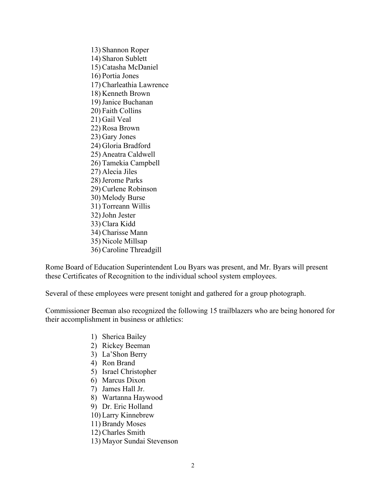13) Shannon Roper 14) Sharon Sublett 15) Catasha McDaniel 16) Portia Jones 17) Charleathia Lawrence 18) Kenneth Brown 19)Janice Buchanan 20) Faith Collins 21) Gail Veal 22) Rosa Brown 23) Gary Jones 24) Gloria Bradford 25) Aneatra Caldwell 26) Tamekia Campbell 27) Alecia Jiles 28)Jerome Parks 29) Curlene Robinson 30) Melody Burse 31) Torreann Willis 32)John Jester 33) Clara Kidd 34) Charisse Mann 35) Nicole Millsap 36) Caroline Threadgill

Rome Board of Education Superintendent Lou Byars was present, and Mr. Byars will present these Certificates of Recognition to the individual school system employees.

Several of these employees were present tonight and gathered for a group photograph.

Commissioner Beeman also recognized the following 15 trailblazers who are being honored for their accomplishment in business or athletics:

- 1) Sherica Bailey
- 2) Rickey Beeman
- 3) La'Shon Berry
- 4) Ron Brand
- 5) Israel Christopher
- 6) Marcus Dixon
- 7) James Hall Jr.
- 8) Wartanna Haywood
- 9) Dr. Eric Holland
- 10) Larry Kinnebrew
- 11) Brandy Moses
- 12) Charles Smith
- 13) Mayor Sundai Stevenson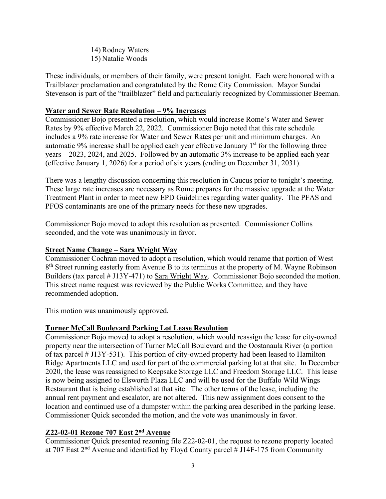14) Rodney Waters 15) Natalie Woods

These individuals, or members of their family, were present tonight. Each were honored with a Trailblazer proclamation and congratulated by the Rome City Commission. Mayor Sundai Stevenson is part of the "trailblazer" field and particularly recognized by Commissioner Beeman.

# **Water and Sewer Rate Resolution – 9% Increases**

Commissioner Bojo presented a resolution, which would increase Rome's Water and Sewer Rates by 9% effective March 22, 2022. Commissioner Bojo noted that this rate schedule includes a 9% rate increase for Water and Sewer Rates per unit and minimum charges. An automatic 9% increase shall be applied each year effective January  $1<sup>st</sup>$  for the following three years – 2023, 2024, and 2025. Followed by an automatic 3% increase to be applied each year (effective January 1, 2026) for a period of six years (ending on December 31, 2031).

There was a lengthy discussion concerning this resolution in Caucus prior to tonight's meeting. These large rate increases are necessary as Rome prepares for the massive upgrade at the Water Treatment Plant in order to meet new EPD Guidelines regarding water quality. The PFAS and PFOS contaminants are one of the primary needs for these new upgrades.

Commissioner Bojo moved to adopt this resolution as presented. Commissioner Collins seconded, and the vote was unanimously in favor.

# **Street Name Change – Sara Wright Way**

Commissioner Cochran moved to adopt a resolution, which would rename that portion of West 8<sup>th</sup> Street running easterly from Avenue B to its terminus at the property of M. Wayne Robinson Builders (tax parcel # J13Y-471) to Sara Wright Way. Commissioner Bojo seconded the motion. This street name request was reviewed by the Public Works Committee, and they have recommended adoption.

This motion was unanimously approved.

# **Turner McCall Boulevard Parking Lot Lease Resolution**

Commissioner Bojo moved to adopt a resolution, which would reassign the lease for city-owned property near the intersection of Turner McCall Boulevard and the Oostanaula River (a portion of tax parcel # J13Y-531). This portion of city-owned property had been leased to Hamilton Ridge Apartments LLC and used for part of the commercial parking lot at that site. In December 2020, the lease was reassigned to Keepsake Storage LLC and Freedom Storage LLC. This lease is now being assigned to Elsworth Plaza LLC and will be used for the Buffalo Wild Wings Restaurant that is being established at that site. The other terms of the lease, including the annual rent payment and escalator, are not altered. This new assignment does consent to the location and continued use of a dumpster within the parking area described in the parking lease. Commissioner Quick seconded the motion, and the vote was unanimously in favor.

# **Z22-02-01 Rezone 707 East 2nd Avenue**

Commissioner Quick presented rezoning file Z22-02-01, the request to rezone property located at 707 East 2nd Avenue and identified by Floyd County parcel # J14F-175 from Community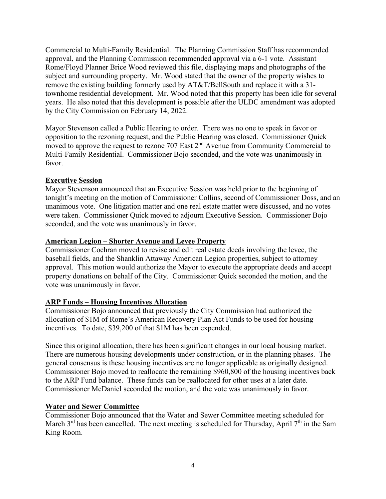Commercial to Multi-Family Residential. The Planning Commission Staff has recommended approval, and the Planning Commission recommended approval via a 6-1 vote. Assistant Rome/Floyd Planner Brice Wood reviewed this file, displaying maps and photographs of the subject and surrounding property. Mr. Wood stated that the owner of the property wishes to remove the existing building formerly used by AT&T/BellSouth and replace it with a 31 townhome residential development. Mr. Wood noted that this property has been idle for several years. He also noted that this development is possible after the ULDC amendment was adopted by the City Commission on February 14, 2022.

Mayor Stevenson called a Public Hearing to order. There was no one to speak in favor or opposition to the rezoning request, and the Public Hearing was closed. Commissioner Quick moved to approve the request to rezone 707 East  $2<sup>nd</sup>$  Avenue from Community Commercial to Multi-Family Residential. Commissioner Bojo seconded, and the vote was unanimously in favor.

### **Executive Session**

Mayor Stevenson announced that an Executive Session was held prior to the beginning of tonight's meeting on the motion of Commissioner Collins, second of Commissioner Doss, and an unanimous vote. One litigation matter and one real estate matter were discussed, and no votes were taken. Commissioner Quick moved to adjourn Executive Session. Commissioner Bojo seconded, and the vote was unanimously in favor.

### **American Legion – Shorter Avenue and Levee Property**

Commissioner Cochran moved to revise and edit real estate deeds involving the levee, the baseball fields, and the Shanklin Attaway American Legion properties, subject to attorney approval. This motion would authorize the Mayor to execute the appropriate deeds and accept property donations on behalf of the City. Commissioner Quick seconded the motion, and the vote was unanimously in favor.

# **ARP Funds – Housing Incentives Allocation**

Commissioner Bojo announced that previously the City Commission had authorized the allocation of \$1M of Rome's American Recovery Plan Act Funds to be used for housing incentives. To date, \$39,200 of that \$1M has been expended.

Since this original allocation, there has been significant changes in our local housing market. There are numerous housing developments under construction, or in the planning phases. The general consensus is these housing incentives are no longer applicable as originally designed. Commissioner Bojo moved to reallocate the remaining \$960,800 of the housing incentives back to the ARP Fund balance. These funds can be reallocated for other uses at a later date. Commissioner McDaniel seconded the motion, and the vote was unanimously in favor.

# **Water and Sewer Committee**

Commissioner Bojo announced that the Water and Sewer Committee meeting scheduled for March  $3<sup>rd</sup>$  has been cancelled. The next meeting is scheduled for Thursday, April  $7<sup>th</sup>$  in the Sam King Room.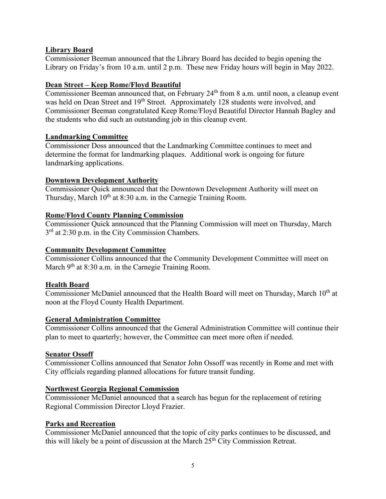# **Library Board**

Commissioner Beeman announced that the Library Board has decided to begin opening the Library on Friday's from 10 a.m. until 2 p.m. These new Friday hours will begin in May 2022.

## **Dean Street – Keep Rome/Floyd Beautiful**

Commissioner Beeman announced that, on February 24<sup>th</sup> from 8 a.m. until noon, a cleanup event was held on Dean Street and 19<sup>th</sup> Street. Approximately 128 students were involved, and Commissioner Beeman congratulated Keep Rome/Floyd Beautiful Director Hannah Bagley and the students who did such an outstanding job in this cleanup event.

### **Landmarking Committee**

Commissioner Doss announced that the Landmarking Committee continues to meet and determine the format for landmarking plaques. Additional work is ongoing for future landmarking applications.

### **Downtown Development Authority**

Commissioner Quick announced that the Downtown Development Authority will meet on Thursday, March  $10<sup>th</sup>$  at 8:30 a.m. in the Carnegie Training Room.

### **Rome/Floyd County Planning Commission**

Commissioner Quick announced that the Planning Commission will meet on Thursday, March 3<sup>rd</sup> at 2:30 p.m. in the City Commission Chambers.

### **Community Development Committee**

Commissioner Collins announced that the Community Development Committee will meet on March  $9<sup>th</sup>$  at 8:30 a.m. in the Carnegie Training Room.

### **Health Board**

Commissioner McDaniel announced that the Health Board will meet on Thursday, March 10<sup>th</sup> at noon at the Floyd County Health Department.

### **General Administration Committee**

Commissioner Collins announced that the General Administration Committee will continue their plan to meet to quarterly; however, the Committee can meet more often if needed.

### **Senator Ossoff**

Commissioner Collins announced that Senator John Ossoff was recently in Rome and met with City officials regarding planned allocations for future transit funding.

### **Northwest Georgia Regional Commission**

Commissioner McDaniel announced that a search has begun for the replacement of retiring Regional Commission Director Lloyd Frazier.

### **Parks and Recreation**

Commissioner McDaniel announced that the topic of city parks continues to be discussed, and this will likely be a point of discussion at the March 25<sup>th</sup> City Commission Retreat.